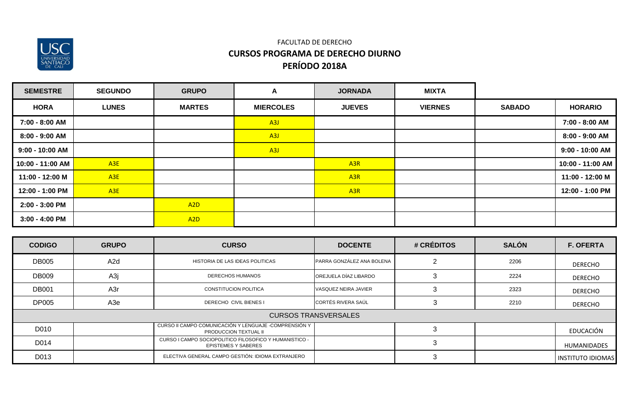

| <b>SEMESTRE</b>   | <b>SEGUNDO</b>  | <b>GRUPO</b>     | A                | <b>JORNADA</b>   | <b>MIXTA</b>   |               |                  |
|-------------------|-----------------|------------------|------------------|------------------|----------------|---------------|------------------|
| <b>HORA</b>       | <b>LUNES</b>    | <b>MARTES</b>    | <b>MIERCOLES</b> | <b>JUEVES</b>    | <b>VIERNES</b> | <b>SABADO</b> | <b>HORARIO</b>   |
| 7:00 - 8:00 AM    |                 |                  | A3J              |                  |                |               | 7:00 - 8:00 AM   |
| 8:00 - 9:00 AM    |                 |                  | A3J              |                  |                |               | 8:00 - 9:00 AM   |
| $9:00 - 10:00$ AM |                 |                  | A3J              |                  |                |               | 9:00 - 10:00 AM  |
| 10:00 - 11:00 AM  | A3E             |                  |                  | A <sub>3R</sub>  |                |               | 10:00 - 11:00 AM |
| 11:00 - 12:00 M   | A <sub>3E</sub> |                  |                  | A <sub>3R</sub>  |                |               | 11:00 - 12:00 M  |
| 12:00 - 1:00 PM   | A3E             |                  |                  | A <sub>3</sub> R |                |               | 12:00 - 1:00 PM  |
| $2:00 - 3:00$ PM  |                 | A <sub>2</sub> D |                  |                  |                |               |                  |
| $3:00 - 4:00$ PM  |                 | A <sub>2</sub> D |                  |                  |                |               |                  |

| <b>CODIGO</b> | <b>GRUPO</b>     | <b>CURSO</b>                                                                           | <b>DOCENTE</b>              | # CRÉDITOS | <b>SALÓN</b> | <b>F. OFERTA</b>         |
|---------------|------------------|----------------------------------------------------------------------------------------|-----------------------------|------------|--------------|--------------------------|
| <b>DB005</b>  | A <sub>2</sub> d | HISTORIA DE LAS IDEAS POLITICAS                                                        | PARRA GONZÁLEZ ANA BOLENA   | റ          | 2206         | <b>DERECHO</b>           |
| <b>DB009</b>  | A3j              | <b>DERECHOS HUMANOS</b>                                                                | OREJUELA DÍAZ LIBARDO       |            | 2224         | <b>DERECHO</b>           |
| <b>DB001</b>  | A3r              | <b>CONSTITUCION POLITICA</b>                                                           | VASQUEZ NEIRA JAVIER        | 3          | 2323         | <b>DERECHO</b>           |
| <b>DP005</b>  | A3e              | <b>DERECHO CIVIL BIENES I</b>                                                          | <b>CORTÉS RIVERA SAÚL</b>   | З          | 2210         | DERECHO                  |
|               |                  |                                                                                        | <b>CURSOS TRANSVERSALES</b> |            |              |                          |
| D010          |                  | CURSO II CAMPO COMUNICACIÓN Y LENGUAJE - COMPRENSIÓN Y<br><b>PRODUCCION TEXTUAL II</b> |                             |            |              | EDUCACIÓN                |
| D014          |                  | CURSO I CAMPO SOCIOPOLITICO FILOSOFICO Y HUMANISTICO -<br><b>EPISTEMES Y SABERES</b>   |                             | 3          |              | <b>HUMANIDADES</b>       |
| D013          |                  | ELECTIVA GENERAL CAMPO GESTIÓN: IDIOMA EXTRANJERO                                      |                             | 3          |              | <b>INSTITUTO IDIOMAS</b> |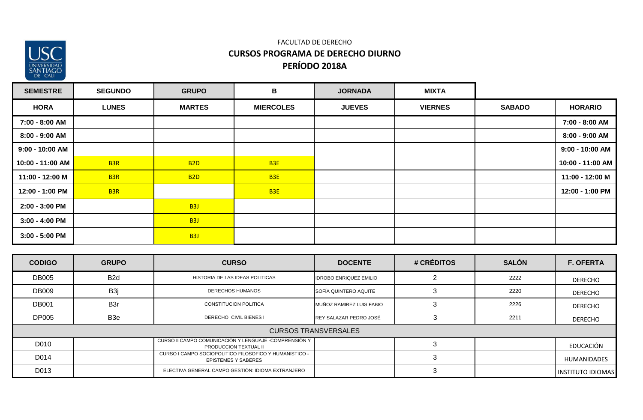

| <b>SEMESTRE</b>   | <b>SEGUNDO</b>  | <b>GRUPO</b>     | В                | <b>JORNADA</b> | <b>MIXTA</b>   |               |                   |
|-------------------|-----------------|------------------|------------------|----------------|----------------|---------------|-------------------|
| <b>HORA</b>       | <b>LUNES</b>    | <b>MARTES</b>    | <b>MIERCOLES</b> | <b>JUEVES</b>  | <b>VIERNES</b> | <b>SABADO</b> | <b>HORARIO</b>    |
| 7:00 - 8:00 AM    |                 |                  |                  |                |                |               | 7:00 - 8:00 AM    |
| 8:00 - 9:00 AM    |                 |                  |                  |                |                |               | 8:00 - 9:00 AM    |
| $9:00 - 10:00$ AM |                 |                  |                  |                |                |               | $9:00 - 10:00$ AM |
| 10:00 - 11:00 AM  | B <sub>3R</sub> | <b>B2D</b>       | B <sub>3E</sub>  |                |                |               | 10:00 - 11:00 AM  |
| 11:00 - 12:00 M   | B <sub>3R</sub> | <b>B2D</b>       | B <sub>3E</sub>  |                |                |               | 11:00 - 12:00 M   |
| 12:00 - 1:00 PM   | B <sub>3R</sub> |                  | B <sub>3E</sub>  |                |                |               | 12:00 - 1:00 PM   |
| 2:00 - 3:00 PM    |                 | B <sub>3</sub> J |                  |                |                |               |                   |
| $3:00 - 4:00$ PM  |                 | B <sub>3</sub> J |                  |                |                |               |                   |
| $3:00 - 5:00$ PM  |                 | B <sub>3</sub> J |                  |                |                |               |                   |

| <b>CODIGO</b> | <b>GRUPO</b>     | <b>CURSO</b>                                                                         | <b>DOCENTE</b>                | # CRÉDITOS | <b>SALÓN</b> | <b>F. OFERTA</b>         |
|---------------|------------------|--------------------------------------------------------------------------------------|-------------------------------|------------|--------------|--------------------------|
| <b>DB005</b>  | B <sub>2</sub> d | HISTORIA DE LAS IDEAS POLITICAS                                                      | <b>IDROBO ENRIQUEZ EMILIO</b> |            | 2222         | DERECHO                  |
| <b>DB009</b>  | B <sub>3</sub> j | <b>DERECHOS HUMANOS</b>                                                              | <b>SOFÍA QUINTERO AQUITE</b>  |            | 2220         | <b>DERECHO</b>           |
| <b>DB001</b>  | B <sub>3</sub> r | <b>CONSTITUCION POLITICA</b>                                                         | MUÑOZ RAMIREZ LUIS FABIO      |            | 2226         | <b>DERECHO</b>           |
| <b>DP005</b>  | B3e              | DERECHO CIVIL BIENES I                                                               | REY SALAZAR PEDRO JOSÉ        |            | 2211         | <b>DERECHO</b>           |
|               |                  |                                                                                      | <b>CURSOS TRANSVERSALES</b>   |            |              |                          |
| D010          |                  | CURSO II CAMPO COMUNICACIÓN Y LENGUAJE - COMPRENSIÓN Y<br>PRODUCCION TEXTUAL II      |                               |            |              | EDUCACIÓN                |
| D014          |                  | CURSO I CAMPO SOCIOPOLITICO FILOSOFICO Y HUMANISTICO -<br><b>EPISTEMES Y SABERES</b> |                               |            |              | <b>HUMANIDADES</b>       |
| D013          |                  | ELECTIVA GENERAL CAMPO GESTIÓN: IDIOMA EXTRANJERO                                    |                               |            |              | <b>INSTITUTO IDIOMAS</b> |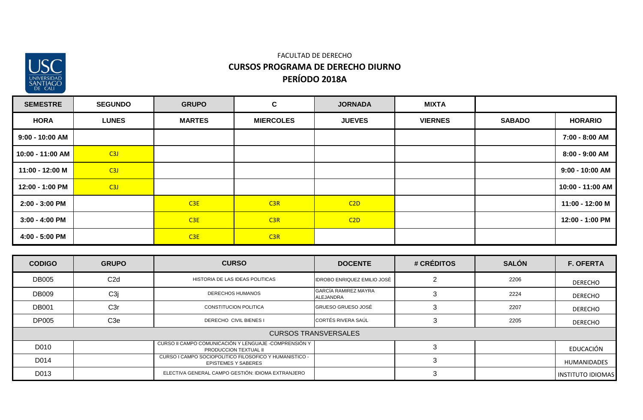

| <b>SEMESTRE</b>   | <b>SEGUNDO</b> | <b>GRUPO</b>  | $\mathbf{C}$     | <b>JORNADA</b> | <b>MIXTA</b>   |               |                  |
|-------------------|----------------|---------------|------------------|----------------|----------------|---------------|------------------|
| <b>HORA</b>       | <b>LUNES</b>   | <b>MARTES</b> | <b>MIERCOLES</b> | <b>JUEVES</b>  | <b>VIERNES</b> | <b>SABADO</b> | <b>HORARIO</b>   |
| $9:00 - 10:00$ AM |                |               |                  |                |                |               | 7:00 - 8:00 AM   |
| 10:00 - 11:00 AM  | C3J            |               |                  |                |                |               | 8:00 - 9:00 AM   |
| 11:00 - 12:00 M   | C3J            |               |                  |                |                |               | 9:00 - 10:00 AM  |
| 12:00 - 1:00 PM   | C3J            |               |                  |                |                |               | 10:00 - 11:00 AM |
| 2:00 - 3:00 PM    |                | C3E           | C3R              | C2D            |                |               | 11:00 - 12:00 M  |
| $3:00 - 4:00$ PM  |                | C3E           | C3R              | C2D            |                |               | 12:00 - 1:00 PM  |
| 4:00 - 5:00 PM    |                | C3E           | C3R              |                |                |               |                  |

| <b>CODIGO</b> | <b>GRUPO</b>     | <b>CURSO</b>                                                                         | <b>DOCENTE</b>                           | # CRÉDITOS | <b>SALÓN</b> | <b>F. OFERTA</b>         |
|---------------|------------------|--------------------------------------------------------------------------------------|------------------------------------------|------------|--------------|--------------------------|
| <b>DB005</b>  | C2d              | HISTORIA DE LAS IDEAS POLITICAS                                                      | IDROBO ENRIQUEZ EMILIO JOSÈ              |            | 2206         | <b>DERECHO</b>           |
| <b>DB009</b>  | C <sub>3</sub> j | DERECHOS HUMANOS                                                                     | GARCÍA RAMIREZ MAYRA<br><b>ALEJANDRA</b> |            | 2224         | <b>DERECHO</b>           |
| <b>DB001</b>  | C <sub>3r</sub>  | CONSTITUCION POLITICA                                                                | <b>GRUESO GRUESO JOSÉ</b>                |            | 2207         | <b>DERECHO</b>           |
| <b>DP005</b>  | C <sub>3e</sub>  | <b>DERECHO CIVIL BIENES I</b>                                                        | <b>CORTÉS RIVERA SAÚL</b>                |            | 2205         | <b>DERECHO</b>           |
|               |                  |                                                                                      | <b>CURSOS TRANSVERSALES</b>              |            |              |                          |
| D010          |                  | CURSO II CAMPO COMUNICACIÓN Y LENGUAJE - COMPRENSIÓN Y<br>PRODUCCION TEXTUAL II      |                                          |            |              | EDUCACIÓN                |
| D014          |                  | CURSO I CAMPO SOCIOPOLITICO FILOSOFICO Y HUMANISTICO -<br><b>EPISTEMES Y SABERES</b> |                                          |            |              | <b>HUMANIDADES</b>       |
| D013          |                  | ELECTIVA GENERAL CAMPO GESTIÓN: IDIOMA EXTRANJERO                                    |                                          |            |              | <b>INSTITUTO IDIOMAS</b> |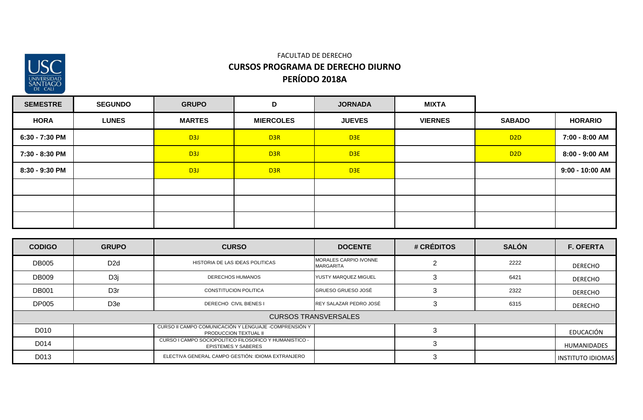

| <b>SEMESTRE</b> | <b>SEGUNDO</b> | <b>GRUPO</b>     | D                | <b>JORNADA</b>  | <b>MIXTA</b>   |                 |                   |
|-----------------|----------------|------------------|------------------|-----------------|----------------|-----------------|-------------------|
| <b>HORA</b>     | <b>LUNES</b>   | <b>MARTES</b>    | <b>MIERCOLES</b> | <b>JUEVES</b>   | <b>VIERNES</b> | <b>SABADO</b>   | <b>HORARIO</b>    |
| 6:30 - 7:30 PM  |                | D3J              | D <sub>3R</sub>  | D <sub>3E</sub> |                | D <sub>2D</sub> | 7:00 - 8:00 AM    |
| 7:30 - 8:30 PM  |                | D <sub>3</sub> J | D <sub>3R</sub>  | D <sub>3E</sub> |                | D <sub>2D</sub> | $8:00 - 9:00$ AM  |
| 8:30 - 9:30 PM  |                | D <sub>3</sub> J | D <sub>3R</sub>  | D <sub>3E</sub> |                |                 | $9:00 - 10:00$ AM |
|                 |                |                  |                  |                 |                |                 |                   |
|                 |                |                  |                  |                 |                |                 |                   |
|                 |                |                  |                  |                 |                |                 |                   |

| <b>CODIGO</b> | <b>GRUPO</b>     | <b>CURSO</b>                                                                         | <b>DOCENTE</b>                     | # CRÉDITOS | <b>SALÓN</b> | <b>F. OFERTA</b>         |
|---------------|------------------|--------------------------------------------------------------------------------------|------------------------------------|------------|--------------|--------------------------|
| <b>DB005</b>  | D <sub>2</sub> d | HISTORIA DE LAS IDEAS POLITICAS                                                      | MORALES CARPIO IVONNE<br>MARGARITA |            | 2222         | <b>DERECHO</b>           |
| <b>DB009</b>  | D <sub>3</sub> j | DERECHOS HUMANOS                                                                     | YUSTY MARQUEZ MIGUEL               |            | 6421         | <b>DERECHO</b>           |
| <b>DB001</b>  | D <sub>3r</sub>  | CONSTITUCION POLITICA                                                                | <b>GRUESO GRUESO JOSÉ</b>          |            | 2322         | <b>DERECHO</b>           |
| <b>DP005</b>  | D <sub>3</sub> e | DERECHO CIVIL BIENES I                                                               | REY SALAZAR PEDRO JOSÉ             |            | 6315         | <b>DERECHO</b>           |
|               |                  |                                                                                      | <b>CURSOS TRANSVERSALES</b>        |            |              |                          |
| D010          |                  | CURSO II CAMPO COMUNICACIÓN Y LENGUAJE - COMPRENSIÓN Y<br>PRODUCCION TEXTUAL II      |                                    |            |              | EDUCACIÓN                |
| D014          |                  | CURSO I CAMPO SOCIOPOLITICO FILOSOFICO Y HUMANISTICO -<br><b>EPISTEMES Y SABERES</b> |                                    |            |              | <b>HUMANIDADES</b>       |
| D013          |                  | ELECTIVA GENERAL CAMPO GESTIÓN: IDIOMA EXTRANJERO                                    |                                    |            |              | <b>INSTITUTO IDIOMAS</b> |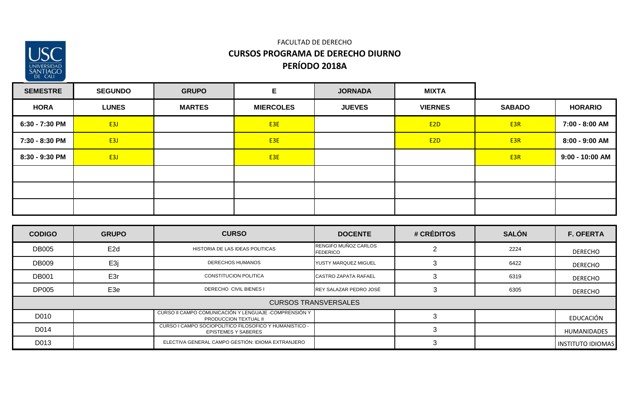

## **PERÍODO 2018A** FACULTAD DE DERECHO **CURSOS PROGRAMA DE DERECHO DIURNO**

| <b>SEMESTRE</b> | <b>SEGUNDO</b> | <b>GRUPO</b>  | Е                | <b>JORNADA</b> | <b>MIXTA</b>     |                 |                   |
|-----------------|----------------|---------------|------------------|----------------|------------------|-----------------|-------------------|
| <b>HORA</b>     | <b>LUNES</b>   | <b>MARTES</b> | <b>MIERCOLES</b> | <b>JUEVES</b>  | <b>VIERNES</b>   | <b>SABADO</b>   | <b>HORARIO</b>    |
| 6:30 - 7:30 PM  | E3J            |               | E3E              |                | E <sub>2</sub> D | E <sub>3R</sub> | 7:00 - 8:00 AM    |
| 7:30 - 8:30 PM  | E3J            |               | E <sub>3E</sub>  |                | E <sub>2</sub> D | E <sub>3R</sub> | $8:00 - 9:00$ AM  |
| 8:30 - 9:30 PM  | E3J            |               | E3E              |                |                  | E <sub>3R</sub> | $9:00 - 10:00$ AM |
|                 |                |               |                  |                |                  |                 |                   |
|                 |                |               |                  |                |                  |                 |                   |
|                 |                |               |                  |                |                  |                 |                   |

| <b>CODIGO</b> | <b>GRUPO</b>    | <b>CURSO</b>                                                                           | <b>DOCENTE</b>                          | # CRÉDITOS | <b>SALÓN</b> | <b>F. OFERTA</b>         |
|---------------|-----------------|----------------------------------------------------------------------------------------|-----------------------------------------|------------|--------------|--------------------------|
| <b>DB005</b>  | E <sub>2d</sub> | HISTORIA DE LAS IDEAS POLITICAS                                                        | RENGIFO MUÑOZ CARLOS<br><b>FEDERICO</b> |            | 2224         | <b>DERECHO</b>           |
| <b>DB009</b>  | E <sub>3j</sub> | <b>DERECHOS HUMANOS</b>                                                                | YUSTY MARQUEZ MIGUEL                    |            | 6422         | <b>DERECHO</b>           |
| <b>DB001</b>  | E3r             | <b>CONSTITUCION POLITICA</b>                                                           | <b>CASTRO ZAPATA RAFAEL</b>             |            | 6319         | DERECHO                  |
| <b>DP005</b>  | E <sub>3e</sub> | <b>DERECHO CIVIL BIENES I</b>                                                          | REY SALAZAR PEDRO JOSÉ                  | 3          | 6305         | DERECHO                  |
|               |                 |                                                                                        | <b>CURSOS TRANSVERSALES</b>             |            |              |                          |
| D010          |                 | CURSO II CAMPO COMUNICACIÓN Y LENGUAJE - COMPRENSIÓN Y<br><b>PRODUCCION TEXTUAL II</b> |                                         |            |              | EDUCACIÓN                |
| D014          |                 | CURSO I CAMPO SOCIOPOLITICO FILOSOFICO Y HUMANISTICO -<br><b>EPISTEMES Y SABERES</b>   |                                         |            |              | <b>HUMANIDADES</b>       |
| D013          |                 | ELECTIVA GENERAL CAMPO GESTIÓN: IDIOMA EXTRANJERO                                      |                                         |            |              | <b>INSTITUTO IDIOMAS</b> |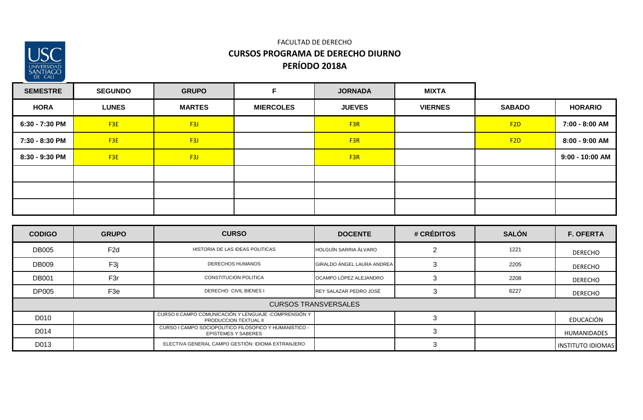

| <b>SEMESTRE</b> | <b>SEGUNDO</b>  | <b>GRUPO</b>     | E                | <b>JORNADA</b>  | <b>MIXTA</b>   |                 |                   |
|-----------------|-----------------|------------------|------------------|-----------------|----------------|-----------------|-------------------|
| <b>HORA</b>     | <b>LUNES</b>    | <b>MARTES</b>    | <b>MIERCOLES</b> | <b>JUEVES</b>   | <b>VIERNES</b> | <b>SABADO</b>   | <b>HORARIO</b>    |
| 6:30 - 7:30 PM  | F3E             | F <sub>3J</sub>  |                  | F <sub>3R</sub> |                | F <sub>2D</sub> | 7:00 - 8:00 AM    |
| 7:30 - 8:30 PM  | F <sub>3E</sub> | F <sub>3J</sub>  |                  | F <sub>3R</sub> |                | F <sub>2D</sub> | 8:00 - 9:00 AM    |
| 8:30 - 9:30 PM  | F <sub>3E</sub> | F <sub>3</sub> J |                  | F <sub>3R</sub> |                |                 | $9:00 - 10:00$ AM |
|                 |                 |                  |                  |                 |                |                 |                   |
|                 |                 |                  |                  |                 |                |                 |                   |
|                 |                 |                  |                  |                 |                |                 |                   |

| <b>CODIGO</b> | <b>GRUPO</b>                                                                         | <b>CURSO</b>                                                                   | <b>DOCENTE</b>              | # CRÉDITOS | <b>SALÓN</b> | <b>F. OFERTA</b>         |
|---------------|--------------------------------------------------------------------------------------|--------------------------------------------------------------------------------|-----------------------------|------------|--------------|--------------------------|
| <b>DB005</b>  | F <sub>2d</sub>                                                                      | HISTORIA DE LAS IDEAS POLITICAS                                                | HOLGUIN SARRIA ALVARO       |            | 1221         | <b>DERECHO</b>           |
| <b>DB009</b>  | F <sub>3j</sub>                                                                      | <b>DERECHOS HUMANOS</b>                                                        | GIRALDO ÁNGEL LAURA ANDREA  | 3          | 2205         | <b>DERECHO</b>           |
| <b>DB001</b>  | F <sub>3r</sub>                                                                      | CONSTITUCION POLITICA                                                          | OCAMPO LÓPEZ ALEJANDRO      |            | 2208         | <b>DERECHO</b>           |
| <b>DP005</b>  | F3e                                                                                  | <b>DERECHO CIVIL BIENES I</b>                                                  | REY SALAZAR PEDRO JOSÉ      |            | 6227         | DERECHO                  |
|               |                                                                                      |                                                                                | <b>CURSOS TRANSVERSALES</b> |            |              |                          |
| D010          |                                                                                      | CURSO II CAMPO COMUNICACIÓN Y LENGUAJE -COMPRENSIÓN Y<br>PRODUCCION TEXTUAL II |                             |            |              | EDUCACIÓN                |
| D014          | CURSO I CAMPO SOCIOPOLITICO FILOSOFICO Y HUMANISTICO -<br><b>EPISTEMES Y SABERES</b> |                                                                                |                             |            |              | <b>HUMANIDADES</b>       |
| D013          |                                                                                      | ELECTIVA GENERAL CAMPO GESTIÓN: IDIOMA EXTRANJERO                              |                             |            |              | <b>INSTITUTO IDIOMAS</b> |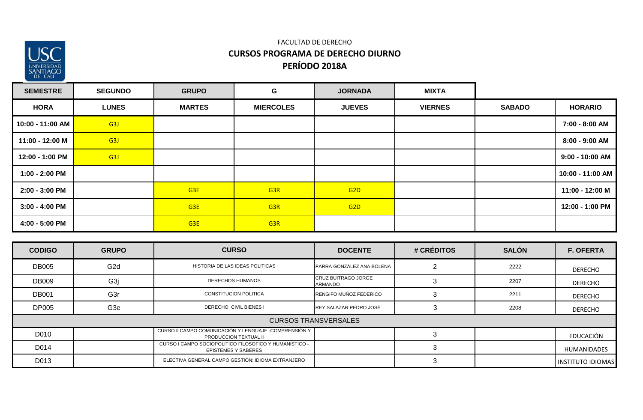

## **PERÍODO 2018A** FACULTAD DE DERECHO **CURSOS PROGRAMA DE DERECHO DIURNO**

| <b>SEMESTRE</b>  | <b>SEGUNDO</b>   | <b>GRUPO</b>    | G                | <b>JORNADA</b>  | <b>MIXTA</b>   |               |                  |
|------------------|------------------|-----------------|------------------|-----------------|----------------|---------------|------------------|
| <b>HORA</b>      | <b>LUNES</b>     | <b>MARTES</b>   | <b>MIERCOLES</b> | <b>JUEVES</b>   | <b>VIERNES</b> | <b>SABADO</b> | <b>HORARIO</b>   |
| 10:00 - 11:00 AM | G <sub>3</sub> J |                 |                  |                 |                |               | 7:00 - 8:00 AM   |
| 11:00 - 12:00 M  | G <sub>3</sub> J |                 |                  |                 |                |               | 8:00 - 9:00 AM   |
| 12:00 - 1:00 PM  | G <sub>3</sub> J |                 |                  |                 |                |               | 9:00 - 10:00 AM  |
| 1:00 - 2:00 PM   |                  |                 |                  |                 |                |               | 10:00 - 11:00 AM |
| 2:00 - 3:00 PM   |                  | G <sub>3E</sub> | G <sub>3R</sub>  | G <sub>2D</sub> |                |               | 11:00 - 12:00 M  |
| $3:00 - 4:00$ PM |                  | G <sub>3E</sub> | G <sub>3R</sub>  | G <sub>2D</sub> |                |               | 12:00 - 1:00 PM  |
| 4:00 - 5:00 PM   |                  | G <sub>3E</sub> | G <sub>3R</sub>  |                 |                |               |                  |

| <b>CODIGO</b>               | <b>GRUPO</b>                                                                         | <b>CURSO</b>                                      | <b>DOCENTE</b>                 | # CRÉDITOS | <b>SALÓN</b> | <b>F. OFERTA</b>         |  |  |
|-----------------------------|--------------------------------------------------------------------------------------|---------------------------------------------------|--------------------------------|------------|--------------|--------------------------|--|--|
| <b>DB005</b>                | G <sub>2</sub> d                                                                     | HISTORIA DE LAS IDEAS POLITICAS                   | PARRA GONZÁLEZ ANA BOLENA      |            | 2222         | <b>DERECHO</b>           |  |  |
| <b>DB009</b>                | G <sub>3</sub> j                                                                     | <b>DERECHOS HUMANOS</b>                           | CRUZ BUITRAGO JORGE<br>ARMANDO |            | 2207         | <b>DERECHO</b>           |  |  |
| <b>DB001</b>                | G <sub>3</sub> r                                                                     | <b>CONSTITUCION POLITICA</b>                      | RENGIFO MUÑOZ FEDERICO         |            | 2211         | <b>DERECHO</b>           |  |  |
| <b>DP005</b>                | G <sub>3e</sub>                                                                      | <b>DERECHO CIVIL BIENES I</b>                     | REY SALAZAR PEDRO JOSÉ         |            | 2208         | <b>DERECHO</b>           |  |  |
| <b>CURSOS TRANSVERSALES</b> |                                                                                      |                                                   |                                |            |              |                          |  |  |
| D010                        | CURSO II CAMPO COMUNICACIÓN Y LENGUAJE -COMPRENSIÓN Y<br>PRODUCCION TEXTUAL II       |                                                   |                                |            |              | EDUCACIÓN                |  |  |
| D014                        | CURSO I CAMPO SOCIOPOLITICO FILOSOFICO Y HUMANISTICO -<br><b>EPISTEMES Y SABERES</b> |                                                   |                                |            |              | HUMANIDADES              |  |  |
| D013                        |                                                                                      | ELECTIVA GENERAL CAMPO GESTIÓN: IDIOMA EXTRANJERO |                                |            |              | <b>INSTITUTO IDIOMAS</b> |  |  |